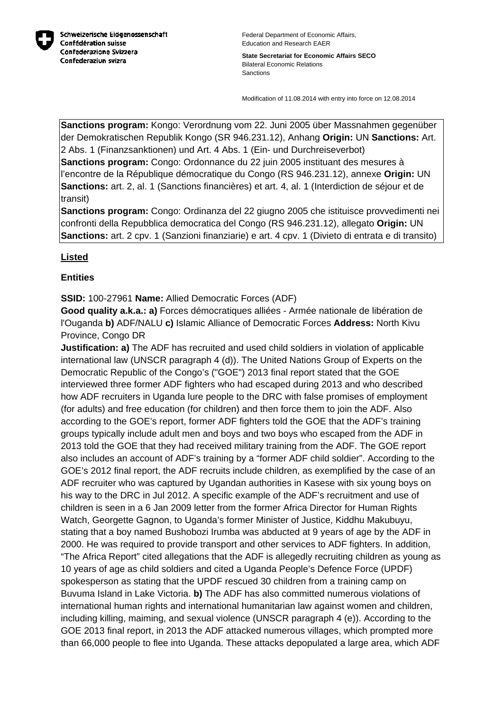

**State Secretariat for Economic Affairs SECO** Bilateral Economic Relations Sanctions

Modification of 11.08.2014 with entry into force on 12.08.2014

**Sanctions program:** Kongo: Verordnung vom 22. Juni 2005 über Massnahmen gegenüber der Demokratischen Republik Kongo (SR 946.231.12), Anhang **Origin:** UN **Sanctions:** Art. 2 Abs. 1 (Finanzsanktionen) und Art. 4 Abs. 1 (Ein- und Durchreiseverbot)

**Sanctions program:** Congo: Ordonnance du 22 juin 2005 instituant des mesures à l'encontre de la République démocratique du Congo (RS 946.231.12), annexe **Origin:** UN **Sanctions:** art. 2, al. 1 (Sanctions financières) et art. 4, al. 1 (Interdiction de séjour et de transit)

**Sanctions program:** Congo: Ordinanza del 22 giugno 2005 che istituisce provvedimenti nei confronti della Repubblica democratica del Congo (RS 946.231.12), allegato **Origin:** UN **Sanctions:** art. 2 cpv. 1 (Sanzioni finanziarie) e art. 4 cpv. 1 (Divieto di entrata e di transito)

# **Listed**

# **Entities**

**SSID:** 100-27961 **Name:** Allied Democratic Forces (ADF)

**Good quality a.k.a.: a)** Forces démocratiques alliées - Armée nationale de libération de l'Ouganda **b)** ADF/NALU **c)** Islamic Alliance of Democratic Forces **Address:** North Kivu Province, Congo DR

**Justification: a)** The ADF has recruited and used child soldiers in violation of applicable international law (UNSCR paragraph 4 (d)). The United Nations Group of Experts on the Democratic Republic of the Congo's ("GOE") 2013 final report stated that the GOE interviewed three former ADF fighters who had escaped during 2013 and who described how ADF recruiters in Uganda lure people to the DRC with false promises of employment (for adults) and free education (for children) and then force them to join the ADF. Also according to the GOE's report, former ADF fighters told the GOE that the ADF's training groups typically include adult men and boys and two boys who escaped from the ADF in 2013 told the GOE that they had received military training from the ADF. The GOE report also includes an account of ADF's training by a "former ADF child soldier". According to the GOE's 2012 final report, the ADF recruits include children, as exemplified by the case of an ADF recruiter who was captured by Ugandan authorities in Kasese with six young boys on his way to the DRC in Jul 2012. A specific example of the ADF's recruitment and use of children is seen in a 6 Jan 2009 letter from the former Africa Director for Human Rights Watch, Georgette Gagnon, to Uganda's former Minister of Justice, Kiddhu Makubuyu, stating that a boy named Bushobozi Irumba was abducted at 9 years of age by the ADF in 2000. He was required to provide transport and other services to ADF fighters. In addition, "The Africa Report" cited allegations that the ADF is allegedly recruiting children as young as 10 years of age as child soldiers and cited a Uganda People's Defence Force (UPDF) spokesperson as stating that the UPDF rescued 30 children from a training camp on Buvuma Island in Lake Victoria. **b)** The ADF has also committed numerous violations of international human rights and international humanitarian law against women and children, including killing, maiming, and sexual violence (UNSCR paragraph 4 (e)). According to the GOE 2013 final report, in 2013 the ADF attacked numerous villages, which prompted more than 66,000 people to flee into Uganda. These attacks depopulated a large area, which ADF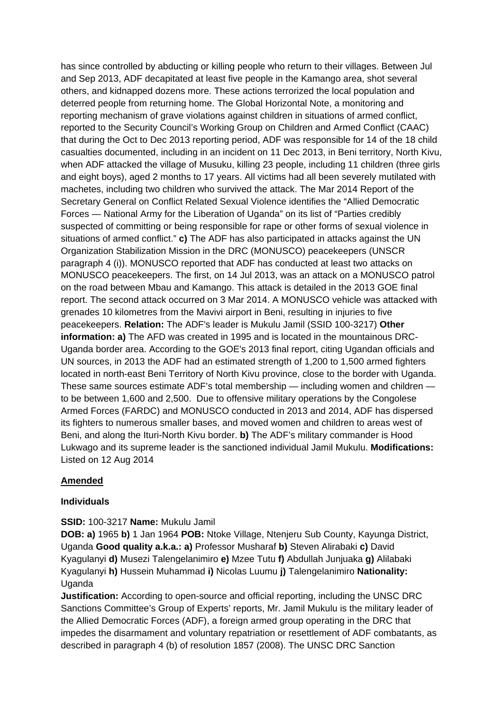has since controlled by abducting or killing people who return to their villages. Between Jul and Sep 2013, ADF decapitated at least five people in the Kamango area, shot several others, and kidnapped dozens more. These actions terrorized the local population and deterred people from returning home. The Global Horizontal Note, a monitoring and reporting mechanism of grave violations against children in situations of armed conflict, reported to the Security Council's Working Group on Children and Armed Conflict (CAAC) that during the Oct to Dec 2013 reporting period, ADF was responsible for 14 of the 18 child casualties documented, including in an incident on 11 Dec 2013, in Beni territory, North Kivu, when ADF attacked the village of Musuku, killing 23 people, including 11 children (three girls and eight boys), aged 2 months to 17 years. All victims had all been severely mutilated with machetes, including two children who survived the attack. The Mar 2014 Report of the Secretary General on Conflict Related Sexual Violence identifies the "Allied Democratic Forces — National Army for the Liberation of Uganda" on its list of "Parties credibly suspected of committing or being responsible for rape or other forms of sexual violence in situations of armed conflict." **c)** The ADF has also participated in attacks against the UN Organization Stabilization Mission in the DRC (MONUSCO) peacekeepers (UNSCR paragraph 4 (i)). MONUSCO reported that ADF has conducted at least two attacks on MONUSCO peacekeepers. The first, on 14 Jul 2013, was an attack on a MONUSCO patrol on the road between Mbau and Kamango. This attack is detailed in the 2013 GOE final report. The second attack occurred on 3 Mar 2014. A MONUSCO vehicle was attacked with grenades 10 kilometres from the Mavivi airport in Beni, resulting in injuries to five peacekeepers. **Relation:** The ADF's leader is Mukulu Jamil (SSID 100-3217) **Other information: a)** The AFD was created in 1995 and is located in the mountainous DRC-Uganda border area. According to the GOE's 2013 final report, citing Ugandan officials and UN sources, in 2013 the ADF had an estimated strength of 1,200 to 1,500 armed fighters located in north-east Beni Territory of North Kivu province, close to the border with Uganda. These same sources estimate ADF's total membership — including women and children to be between 1,600 and 2,500. Due to offensive military operations by the Congolese Armed Forces (FARDC) and MONUSCO conducted in 2013 and 2014, ADF has dispersed its fighters to numerous smaller bases, and moved women and children to areas west of Beni, and along the Ituri-North Kivu border. **b)** The ADF's military commander is Hood Lukwago and its supreme leader is the sanctioned individual Jamil Mukulu. **Modifications:**  Listed on 12 Aug 2014

# **Amended**

## **Individuals**

## **SSID:** 100-3217 **Name:** Mukulu Jamil

**DOB: a)** 1965 **b)** 1 Jan 1964 **POB:** Ntoke Village, Ntenjeru Sub County, Kayunga District, Uganda **Good quality a.k.a.: a)** Professor Musharaf **b)** Steven Alirabaki **c)** David Kyagulanyi **d)** Musezi Talengelanimiro **e)** Mzee Tutu **f)** Abdullah Junjuaka **g)** Alilabaki Kyagulanyi **h)** Hussein Muhammad **i)** Nicolas Luumu **j)** Talengelanimiro **Nationality:** Uganda

**Justification:** According to open-source and official reporting, including the UNSC DRC Sanctions Committee's Group of Experts' reports, Mr. Jamil Mukulu is the military leader of the Allied Democratic Forces (ADF), a foreign armed group operating in the DRC that impedes the disarmament and voluntary repatriation or resettlement of ADF combatants, as described in paragraph 4 (b) of resolution 1857 (2008). The UNSC DRC Sanction